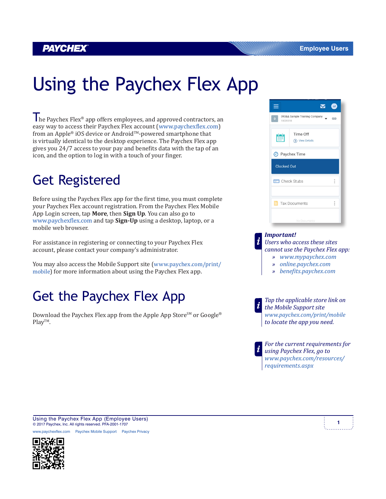### *PAYCHEX*

# Using the Paychex Flex App

The Paychex Flex® app offers employees, and approved contractors, an easy way to access their Paychex Flex account (www.paychexflex.com) from an Apple® iOS device or Android™-powered smartphone that is virtually identical to the desktop experience. The Paychex Flex app gives you 24/7 access to your pay and benefits data with the tap of an icon, and the option to log in with a touch of your finger.

### Get Registered

Before using the Paychex Flex app for the first time, you must complete your Paychex Flex account registration. From the Paychex Flex Mobile App Login screen, tap **More**, then **Sign Up**. You can also go to www.paychexflex.com and tap **Sign-Up** using a desktop, laptop, or a mobile web browser.

For assistance in registering or connecting to your Paychex Flex account, please contact your company's administrator.

You may also access the Mobile Support site (www.paychex.com/print/ mobile) for more information about using the Paychex Flex app.

### Get the Paychex Flex App

Download the Paychex Flex app from the Apple App Store<sup>SM</sup> or Google® PlayTM.



#### *Important!*

*Users who access these sites cannot use the Paychex Flex app: » www.mypaychex.com*

- *» online.paychex.com*
- *» benefits.paychex.com*

*Tap the applicable store link on the Mobile Support site www.paychex.com/print/mobile to locate the app you need.*

*For the current requirements for using Paychex Flex, go to www.paychex.com/resources/ requirements.aspx*

Using the Paychex Flex App (Employee Users)<br> **1** A 2017 Purpley by Allichts are also 154,000 1797 © 2017 Paychex, Inc. All rights reserved. PFA-2001-1707

w.paychexflex.com Paychex Mobile Support Paychex Privacy



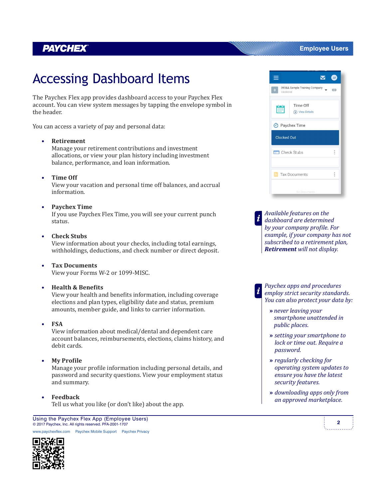### **PAYCHEX**

## Accessing Dashboard Items

The Paychex Flex app provides dashboard access to your Paychex Flex account. You can view system messages by tapping the envelope symbol in the header.

You can access a variety of pay and personal data:

#### **• Retirement**

Manage your retirement contributions and investment allocations, or view your plan history including investment balance, performance, and loan information.

**• Time Off**

View your vacation and personal time off balances, and accrual information.

#### **• Paychex Time**

If you use Paychex Flex Time, you will see your current punch status.

**• Check Stubs**

View information about your checks, including total earnings, withholdings, deductions, and check number or direct deposit.

**• Tax Documents** View your Forms W-2 or 1099-MISC.

#### **• Health & Benefits**

View your health and benefits information, including coverage elections and plan types, eligibility date and status, premium amounts, member guide, and links to carrier information.

#### **• FSA**

View information about medical/dental and dependent care account balances, reimbursements, elections, claims history, and debit cards.

#### **• My Profile**

Manage your profile information including personal details, and password and security questions. View your employment status and summary.

#### **• Feedback**

Tell us what you like (or don't like) about the app.

**<sup>2</sup>** Using the Paychex Flex App (Employee Users) © 2017 Paychex, Inc. All rights reserved. PFA-2001-1707

w.paychexflex.com Paychex Mobile Support Paychex Privacy



#### **Employee Users**



*Available features on the dashboard are determined by your company profile. For example, if your company has not subscribed to a retirement plan, Retirement will not display.*

*Paychex apps and procedures employ strict security standards. You can also protect your data by:*

- **»** *never leaving your smartphone unattended in public places.*
- **»** *setting your smartphone to lock or time out. Require a password.*
- **»** *regularly checking for operating system updates to ensure you have the latest security features.*
- **»** *downloading apps only from an approved marketplace.*